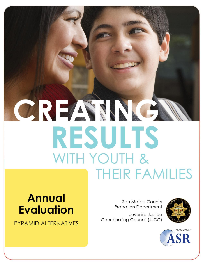# CREAMA **RESULTS** WITH YOUTH & **THEIR FAMILIES**

## **Annual Evaluation**

PYRAMID ALTERNATIVES

**San Mateo County Probation Department** 

Juvenile Justice Coordinating Council (JJCC)



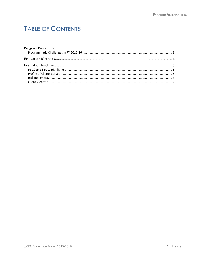## **TABLE OF CONTENTS**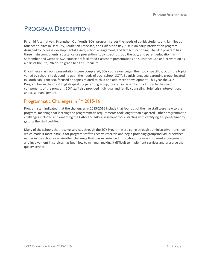## <span id="page-2-0"></span>PROGRAM DESCRIPTION

Pyramid Alternative's Strengthen Our Youth (SOY) program serves the needs of at-risk students and families at four school sites in Daly City, South San Francisco, and Half Moon Bay. SOY is an early intervention program designed to increase developmental assets, school engagement, and family functioning. The SOY program has three main components: substance use prevention, topic specific group therapy, and parent education. In September and October, SOY counselors facilitated classroom presentations on substance use and prevention as a part of the 6th, 7th or 9th grade health curriculum.

Once these classroom presentations were completed, SOY counselors began their topic specific groups; the topics varied by school site depending upon the needs of each school. SOY's Spanish language parenting group, located in South San Francisco, focused on topics related to child and adolescent development. This year the SOY Program began their first English speaking parenting group, located in Daly City. In addition to the main components of the program, SOY staff also provided individual and family counseling, brief crisis intervention, and case management.

#### <span id="page-2-1"></span>Programmatic Challenges in FY 2015-16

Program staff indicated that the challenges in 2015-2016 include that four out of the five staff were new to the program, meaning that learning the programmatic requirements took longer than expected. Other programmatic challenges included implementing the CANS and JAIS assessment tools, starting with certifying a super-trainer to getting the staff certified.

Many of the schools that receive services through the SOY Program were going through administrative transition which made it more difficult for program staff to receive referrals and begin providing group/individual services earlier in the school year. Another challenge that was experienced throughout the years is parent engagement and involvement in services has been low to minimal, making it difficult to implement services and preserve the quality service.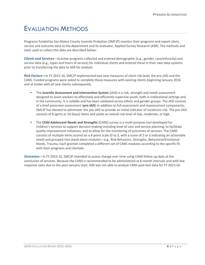## <span id="page-3-0"></span>EVALUATION METHODS

Programs funded by San Mateo County Juvenile Probation (SMCJP) monitor their programs and report client, service and outcome data to the department and its evaluator, Applied Survey Research (ASR). The methods and tools used to collect this data are described below:

*Clients and Services*—Grantee programs collected and entered demographic (e.g., gender, race/ethnicity) and service data (e.g., types and hours of service) for individual clients and entered these in their own data systems prior to transferring the data to ASR for analysis.

*Risk Factors***—**In FY 2015-16, SMCJP implemented two new measures of client risk level, the pre-JAIS and the CANS. Funded programs were asked to complete these measures with existing clients beginning January 2016 and at intake with all new clients subsequently.

- The **Juvenile Assessment and Intervention System** (JAIS) is a risk, strength and needs assessment designed to assist workers to effectively and efficiently supervise youth, both in institutional settings and in the community. It is reliable and has been validated across ethnic and gender groups. The JAIS consists of a brief prescreen assessment (**pre-JAIS**) in addition to full assessment and reassessment components; SMCJP has elected to administer the pre-JAIS to provide an initial indicator of recidivism risk. The pre-JAIS consists of 8 (girls) or 10 (boys) items and yields an overall risk level of low, moderate, or high.
- The **Child Adolescent Needs and Strengths** (CANS) survey is a multi-purpose tool developed for children's services to support decision-making including level of care and service planning, to facilitate quality improvement initiatives, and to allow for the monitoring of outcomes of services. The CANS consists of multiple items scored on a 4-point scale (0 to 3, with a score of 2 or 3 indicating an actionable need) and grouped into stand-alone modules—e.g., Risk Behaviors, Strengths, Behavioral/Emotional Needs, Trauma. Each grantee completed a different set of CANS modules according to the specific fit with their programs and clientele.

*Outcomes*—In FY 2015-16, SMCJP intended to assess change over time using CANS follow-up data at the conclusion of services. Because the CANS is recommended to be administered at 6-month intervals and with low response rates due to the post-January start, ASR was not able to analyze CANS post-test data for FY 2015-16.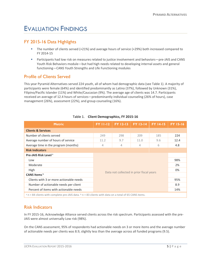## <span id="page-4-0"></span>EVALUATION FINDINGS

### <span id="page-4-1"></span>FY 2015-16 Data Highlights

- The number of clients served (+21%) and average hours of service (+29%) both increased compared to FY 2014-15
- Participants had low risk on measures related to justice involvement and behaviors—pre-JAIS and CANS Youth Risk Behaviors module—but had high needs related to developing internal assets and general functioning—CANS Youth Strengths and Life Functioning modules

#### <span id="page-4-2"></span>Profile of Clients Served

This year Pyramid Alternatives served 224 youth, all of whom had demographic data (see Table 1). A majority of participants were female (64%) and identified predominantly as Latino (37%), followed by Unknown (31%), Filipino/Pacific Islander (11%) and White/Caucasian (9%). The average age of clients was 14.7. Participants received an average of 12.4 hours of services—predominantly individual counseling (26% of hours), case management (26%), assessment (22%), and group counseling (16%).

| <b>Metric</b>                                                                                             | <b>FY 11-12</b>                          | <b>FY 12-13</b> | <b>FY 13-14</b> | <b>FY 14-15</b> | <b>FY 15-16</b> |  |
|-----------------------------------------------------------------------------------------------------------|------------------------------------------|-----------------|-----------------|-----------------|-----------------|--|
| <b>Clients &amp; Services</b>                                                                             |                                          |                 |                 |                 |                 |  |
| Number of clients served                                                                                  | 249                                      | 298             | 209             | 185             | 224             |  |
| Average number of hours of service                                                                        | 11.2                                     | 9.7             | 11.0            | 9.6             | 12.4            |  |
| Average time in the program (months)                                                                      | 4                                        | $\overline{4}$  | 4               | 6               | 4.8             |  |
| <b>Risk Indicators</b>                                                                                    |                                          |                 |                 |                 |                 |  |
| <b>Pre-JAIS Risk Level<sup>a</sup></b>                                                                    |                                          |                 |                 |                 |                 |  |
| Low                                                                                                       |                                          |                 |                 | 98%             |                 |  |
| Moderate                                                                                                  |                                          |                 |                 | 2%              |                 |  |
| High                                                                                                      |                                          |                 |                 | 0%              |                 |  |
| CANS Items <sup>b</sup>                                                                                   | Data not collected in prior fiscal years |                 |                 |                 |                 |  |
| Clients with 3 or more actionable needs                                                                   | 95%<br>8.9<br>14%                        |                 |                 |                 |                 |  |
| Number of actionable needs per client                                                                     |                                          |                 |                 |                 |                 |  |
| Percent of items with actionable needs                                                                    |                                          |                 |                 |                 |                 |  |
| $a$ n = 84 clients with complete pre-JAIS data. $b$ n = 83 clients with data on a total of 65 CANS items. |                                          |                 |                 |                 |                 |  |

#### Table 1. **Client Demographics, FY 2015-16**

#### <span id="page-4-3"></span>Risk Indicators

In FY 2015-16, Acknowledge Alliance served clients across the risk spectrum. Participants assessed with the pre-JAIS were almost universally Low risk (98%).

On the CANS assessment, 95% of respondents had actionable needs on 3 or more items and the average number of actionable needs per clients was 8.9, slightly less than the average across all funded programs (9.5).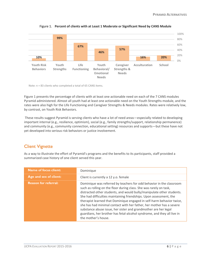

Figure 1. **Percent of clients with at Least 1 Moderate or Significant Need by CANS Module**

Note: n = 83 clients who completed a total of 65 CANS items.

Figure 1 presents the percentage of clients with at least one actionable need on each of the 7 CANS modules Pyramid administered. Almost all youth had at least one actionable need on the Youth Strengths module, and the rates were also high for the Life Functioning and Caregiver Strengths & Needs modules. Rates were relatively low, by contrast, on Youth Risk Behaviors.

These results suggest Pyramid is serving clients who have a lot of need areas—especially related to developing important internal (e.g., resilience, optimism), social (e.g., family strengths/support, relationship permanence) and community (e.g., community connection, educational setting) resources and supports—but these have not yet developed into serious risk behaviors or justice involvement.

## <span id="page-5-0"></span>Client Vignette

As a way to illustrate the effort of Pyramid's programs and the benefits to its participants, staff provided a summarized case history of one client served this year.

| <b>Name of focus client:</b> | Dominique                                                                                                                                                                                                                                                                                                                                                                                                                                                                                                                                                                                                       |
|------------------------------|-----------------------------------------------------------------------------------------------------------------------------------------------------------------------------------------------------------------------------------------------------------------------------------------------------------------------------------------------------------------------------------------------------------------------------------------------------------------------------------------------------------------------------------------------------------------------------------------------------------------|
| Age and sex of client:       | Client is currently a 12 y.o. female                                                                                                                                                                                                                                                                                                                                                                                                                                                                                                                                                                            |
| <b>Reason for referral:</b>  | Dominique was referred by teachers for odd behavior in the classroom<br>such as rolling on the floor during class. She was rarely on task,<br>distracted other students, and would bully/manipulate other students.<br>She had difficulties maintaining friendships. Upon assessment, the<br>therapist learned that Dominique engaged in self-harm behavior twice,<br>she has had minimal contact with her father, her mother has a severe<br>substance abuse issue, her sister and grandmother are her legal<br>guardians, her brother has fetal-alcohol syndrome, and they all live in<br>the mother's house. |